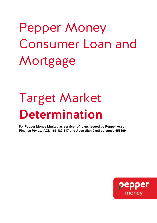# Pepper Money Consumer Loan and Mortgage

# Target Market Determination

For **Pepper Money Limited as servicer of loans issued by Pepper Asset Finance Pty Ltd ACN 165 183 317 and Australian Credit Licence 458899**

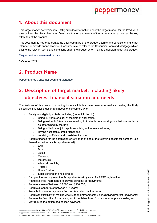

## 1. About this document

This target market determination (TMD) provides information about the target market for the Product. It also outlines the likely objectives, financial situation and needs of the target market as well as the key attributes of the product.

This document is not to be treated as a full summary of the product's terms and conditions and is not intended to provide financial advice. Consumers must refer to the Consumer Loan and Mortgage which outline the relevant terms and conditions under the product when making a decision about this product.

#### Target market determination date

5 October 2021

## 2. Product Name

Pepper Money Consumer Loan and Mortgage

## 3. Description of target market, including likely objectives, financial situation and needs

The features of this product, including its key attributes have been assessed as meeting the likely objectives, financial situation and needs of consumers who:

- Satisfy our eligibility criteria, including (but not limited to):
	- <sup>o</sup> Being 18 years or older at the time of application;
	- o Being resident of Australia (or residing in Australia on a working visa that is acceptable as determined by the us);
	- o Being individual or joint applicants living at the same address;
	- <sup>o</sup> Having acceptable credit rating; and
	- receiving sufficient and consistent income:
- Require finance for the acquisition or refinance of one of the following assets for personal use (hereafter defined as Acceptable Asset):
	- <sup>o</sup> Car;
	- <sup>o</sup> Boat;
	- <sup>o</sup> Jet ski;
	- <sup>o</sup> Caravan;
	- o Motorcycle;
	- <sup>o</sup> All-terrain vehicle;
	- o Tractor:
	- <sup>o</sup> Horse float; or
	- Solar generation and storage:
- Can provide security over the Acceptable Asset by way of a PPSR registration;
- Require a fixed interest rate to provide certainty of repayments;
- Require a loan of between \$5,000 and \$300,000;
- Require a loan term of between 1-7 years;
- Are able to make repayments from an Australian bank account;
- Require the flexibility of making weekly, fortnightly or monthly principal and interest repayments;
- Require the flexibility of purchasing an Acceptable Asset from a dealer or private seller; and
- May require the option of a balloon payment.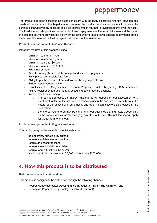# peppermoney

The product has been assessed as being consistent with the likely objectives, financial situation and needs of consumers in the target market because the product enables consumers to finance the purchase of a wide variety of assets at a fixed interest rate in return for providing security over the asset. The fixed interest rate provides the certainty of fixed repayments for the term of the loan and the option of a balloon payment provides the ability for the consumer to make lower ongoing repayments during the term of the loan with a final repayment at the end of the loan term.

#### Product description, including key attributes

Important features of this product include:

- Minimum loan term: 1 year
- Maximum loan term: 7 years
- Minimum loan size: \$5,000
- Maximum loan size: \$300,000
- Fixed interest rate
- Weekly, fortnightly or monthly principal and interest repayments
- Early payout permissible for a fee
- Ability to purchase assets from a dealer or through a private sale
- Balloon repayment available
- Establishment fee, Origination fee, Personal Property Securities Register (PPSR) Search fee, PPSR Registration fee and monthly account keeping fees are payable.
- Interest rate for risk pricing:
	- $\circ$  if a loan is approved, the interest rate offered will depend on our assessment of a number of factors at the time of application including the consumer's credit history, the nature of the asset being purchased, and other relevant factors as provided in the application;
	- o the interest rate offered may be higher than our published starting rate(s), depending on the consumer's circumstances (e.g. risk of default, etc). This risk loading will apply for the full term of the loan.

#### Product description, including key attributes

This product may not be suitable for individuals who:

- do not satisfy our eligibility criteria;
- require a variable interest rate loan;
- require an unsecured loan;
- require a loan for debt consolidation:
- require redraw functionality; and/or
- are looking to borrow less than \$5,000 or more than \$300,000.

## 4. How this product is to be distributed

#### Distribution channels and conditions

This product is designed to be distributed through the following channels:

- Pepper Money accredited Asset Finance introducers (**Third Party Channel**); and
- Directly via Pepper Money employees (**Direct Channel**).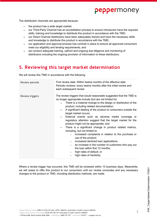## peppermoney

The distribution channels are appropriate because:

- the product has a wide target market;
- our Third-Party Channel has an accreditation process to ensure introducers have the required skills, training and knowledge to distribute this product in accordance with the TMD;
- our Direct Channel distributors have been adequately trained and have the necessary skills and knowledge to distribute this product in accordance with the TMD;
- our application and approval process has controls in place to ensure all approved consumers meet our eligibility and lending requirements; and
- we conduct adequate training, upfront and ongoing due diligence and monitoring of distributors including the ongoing provision of information to these distributors.

## 5. Reviewing this target market determination

We will review this TMD in accordance with the following:

| Review periods  | First review date: Within twelve months of the effective date<br>Periodic reviews: every twelve months after the initial review and<br>each subsequent review                                                                                                                                                                                                                                                                                                                                                                                                                                                                                                                                                                                                                                                                                                                                                                                                                            |
|-----------------|------------------------------------------------------------------------------------------------------------------------------------------------------------------------------------------------------------------------------------------------------------------------------------------------------------------------------------------------------------------------------------------------------------------------------------------------------------------------------------------------------------------------------------------------------------------------------------------------------------------------------------------------------------------------------------------------------------------------------------------------------------------------------------------------------------------------------------------------------------------------------------------------------------------------------------------------------------------------------------------|
| Review triggers | The review triggers that would reasonable suggested that the TMD is<br>no longer appropriate include (but are not limited to):<br>There is a material change to the design or distribution of the<br>$\bullet$<br>product, including related documentation;<br>A significant dealing of the product to consumers outside the<br>$\bullet$<br>target market occurs;<br>External events such as adverse media coverage or<br>$\bullet$<br>regulatory attention suggest that the target market for the<br>product might not be appropriate; and<br>There is a significant change in product related metrics,<br>$\bullet$<br>including, but not limited to:<br>increased complaints in relation to the purchase or<br>$\circ$<br>use of the product;<br>increased declined loan applications;<br>$\circ$<br>an increase in the number of customers who pay out<br>$\circ$<br>the loan within first 12 months;<br>high rates of default; or<br>$\circ$<br>high rates of hardship.<br>$\circ$ |

Where a review trigger has occurred, this TMD will be reviewed within 10 business days. Meanwhile, we will cease to offer this product to our consumers until our review concludes and any necessary changes to the product or TMD, including distribution methods, are made.